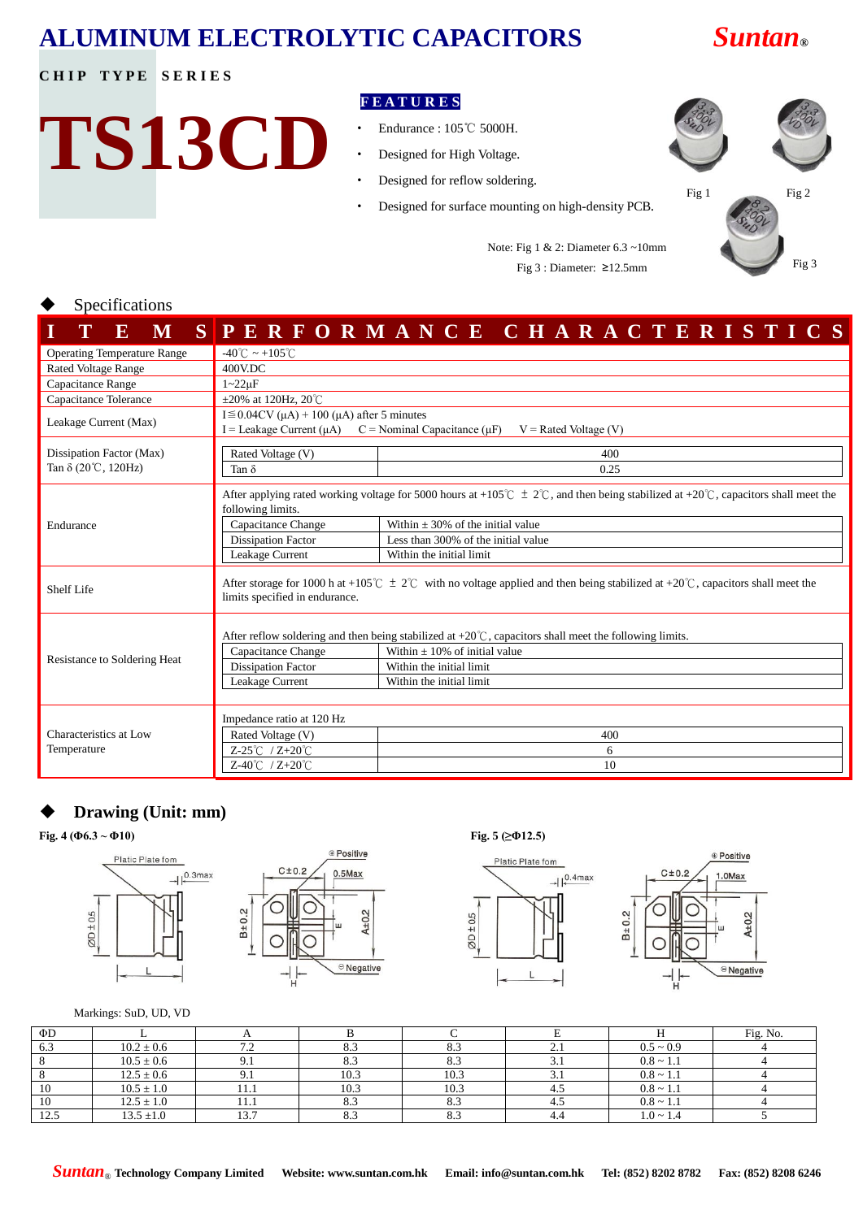# **ALUMINUM ELECTROLYTIC CAPACITORS** *Suntan***®**

## **CHIP TYPE SERIES**

**TS13CD**

### **F E A T U R E S**

- ‧ Endurance : 105℃ 5000H.
- ‧ Designed for High Voltage.
- Designed for reflow soldering.
- ‧ Designed for surface mounting on high-density PCB.



Note: Fig 1 & 2: Diameter 6.3 ~10mm Fig 3 : Diameter:  $\geq 12.5$ mm Fig 3

#### Specifications

| F.<br>M                               |                                                                                                                                                                                                                                                                                                                                                | SPERFORMANCE CHARACTERISTICS                                                                                                                                                                                   |  |  |  |  |  |
|---------------------------------------|------------------------------------------------------------------------------------------------------------------------------------------------------------------------------------------------------------------------------------------------------------------------------------------------------------------------------------------------|----------------------------------------------------------------------------------------------------------------------------------------------------------------------------------------------------------------|--|--|--|--|--|
| <b>Operating Temperature Range</b>    | $-40^{\circ}$ C ~ +105 $^{\circ}$ C                                                                                                                                                                                                                                                                                                            |                                                                                                                                                                                                                |  |  |  |  |  |
| <b>Rated Voltage Range</b>            | 400V.DC                                                                                                                                                                                                                                                                                                                                        |                                                                                                                                                                                                                |  |  |  |  |  |
| Capacitance Range                     | $1 - 22\mu F$                                                                                                                                                                                                                                                                                                                                  |                                                                                                                                                                                                                |  |  |  |  |  |
| Capacitance Tolerance                 | $\pm 20\%$ at 120Hz, 20°C                                                                                                                                                                                                                                                                                                                      |                                                                                                                                                                                                                |  |  |  |  |  |
| Leakage Current (Max)                 | I $\leq$ 0.04CV ( $\mu$ A) + 100 ( $\mu$ A) after 5 minutes<br>I = Leakage Current ( $\mu$ A) C = Nominal Capacitance ( $\mu$ F)<br>$V =$ Rated Voltage (V)                                                                                                                                                                                    |                                                                                                                                                                                                                |  |  |  |  |  |
| Dissipation Factor (Max)              | Rated Voltage (V)<br>400                                                                                                                                                                                                                                                                                                                       |                                                                                                                                                                                                                |  |  |  |  |  |
| Tan $\delta$ (20°C, 120Hz)            | 0.25<br>Tan $\delta$                                                                                                                                                                                                                                                                                                                           |                                                                                                                                                                                                                |  |  |  |  |  |
| Endurance                             | After applying rated working voltage for 5000 hours at +105°C $\pm$ 2°C, and then being stabilized at +20°C, capacitors shall meet the<br>following limits.<br>Within $\pm 30\%$ of the initial value<br>Capacitance Change<br><b>Dissipation Factor</b><br>Less than 300% of the initial value<br>Leakage Current<br>Within the initial limit |                                                                                                                                                                                                                |  |  |  |  |  |
| Shelf Life                            | After storage for 1000 h at +105°C $\pm$ 2°C with no voltage applied and then being stabilized at +20°C, capacitors shall meet the<br>limits specified in endurance.                                                                                                                                                                           |                                                                                                                                                                                                                |  |  |  |  |  |
| Resistance to Soldering Heat          | Capacitance Change<br><b>Dissipation Factor</b><br>Leakage Current                                                                                                                                                                                                                                                                             | After reflow soldering and then being stabilized at $+20^{\circ}$ C, capacitors shall meet the following limits.<br>Within $\pm 10\%$ of initial value<br>Within the initial limit<br>Within the initial limit |  |  |  |  |  |
| Characteristics at Low<br>Temperature | Impedance ratio at 120 Hz<br>Rated Voltage (V)<br>Z-25 $°C$ / Z+20 $°C$<br>Z-40℃ / Z+20℃                                                                                                                                                                                                                                                       | 400<br>6<br>10                                                                                                                                                                                                 |  |  |  |  |  |

# **Drawing (Unit: mm)**

**Fig. 4 (Φ6.3 ~ Φ10) Fig. 5 (≥Φ12.5)**









Markings: SuD, UD, VD

| ΦD   |                |      |      |      |            |                | Fig. No. |
|------|----------------|------|------|------|------------|----------------|----------|
| 6.3  | $10.2 \pm 0.6$ | 7.2  | 8.3  | 8.3  | $\sim$ . 1 | $0.5 \sim 0.9$ |          |
|      | $10.5 \pm 0.6$ |      | 8.3  | 8.3  | J.I        | $0.8 \sim 1.1$ |          |
|      | $12.5 \pm 0.6$ |      | 10.3 | 10.3 | J.I        | $0.8 \sim 1.1$ |          |
| 10   | $10.5 \pm 1.0$ | 11.1 | 10.3 | 10.3 | 4.J        | $0.8 \sim 1.1$ |          |
| 10   | $12.5 \pm 1.0$ | 11.1 | 8.3  | 8.3  |            | $0.8 \sim 1.1$ |          |
| 12.5 | $13.5 \pm 1.0$ | 13.7 | 8.3  | 8.3  | -4.4       | $1.0 \sim 1.4$ |          |